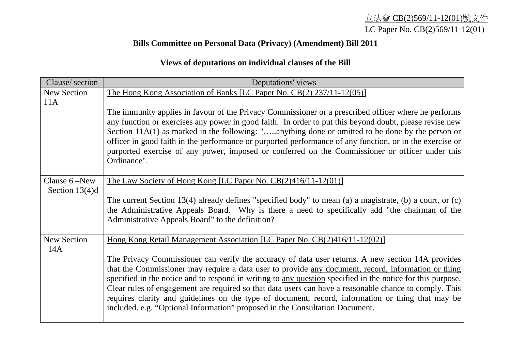## **Bills Committee on Personal Data (Privacy) (Amendment) Bill 2011**

## **Views of deputations on individual clauses of the Bill**

| Clause/section            | Deputations' views                                                                                                                                                                                                                                                                                                                                                                                                                                                                                                                                                                                                     |
|---------------------------|------------------------------------------------------------------------------------------------------------------------------------------------------------------------------------------------------------------------------------------------------------------------------------------------------------------------------------------------------------------------------------------------------------------------------------------------------------------------------------------------------------------------------------------------------------------------------------------------------------------------|
| <b>New Section</b>        | The Hong Kong Association of Banks [LC Paper No. CB(2) 237/11-12(05)]                                                                                                                                                                                                                                                                                                                                                                                                                                                                                                                                                  |
| 11A                       |                                                                                                                                                                                                                                                                                                                                                                                                                                                                                                                                                                                                                        |
|                           | The immunity applies in favour of the Privacy Commissioner or a prescribed officer where he performs<br>any function or exercises any power in good faith. In order to put this beyond doubt, please revise new                                                                                                                                                                                                                                                                                                                                                                                                        |
|                           | Section 11A(1) as marked in the following: "anything done or omitted to be done by the person or                                                                                                                                                                                                                                                                                                                                                                                                                                                                                                                       |
|                           | officer in good faith in the performance or purported performance of any function, or in the exercise or<br>purported exercise of any power, imposed or conferred on the Commissioner or officer under this                                                                                                                                                                                                                                                                                                                                                                                                            |
|                           | Ordinance".                                                                                                                                                                                                                                                                                                                                                                                                                                                                                                                                                                                                            |
| Clause 6 –New             | The Law Society of Hong Kong [LC Paper No. $CB(2)416/11-12(01)$ ]                                                                                                                                                                                                                                                                                                                                                                                                                                                                                                                                                      |
| Section $13(4)d$          |                                                                                                                                                                                                                                                                                                                                                                                                                                                                                                                                                                                                                        |
|                           | The current Section 13(4) already defines "specified body" to mean (a) a magistrate, (b) a court, or $(c)$<br>the Administrative Appeals Board. Why is there a need to specifically add "the chairman of the<br>Administrative Appeals Board" to the definition?                                                                                                                                                                                                                                                                                                                                                       |
| <b>New Section</b><br>14A | Hong Kong Retail Management Association [LC Paper No. CB(2)416/11-12(02)]                                                                                                                                                                                                                                                                                                                                                                                                                                                                                                                                              |
|                           | The Privacy Commissioner can verify the accuracy of data user returns. A new section 14A provides<br>that the Commissioner may require a data user to provide any document, record, information or thing<br>specified in the notice and to respond in writing to any question specified in the notice for this purpose.<br>Clear rules of engagement are required so that data users can have a reasonable chance to comply. This<br>requires clarity and guidelines on the type of document, record, information or thing that may be<br>included. e.g. "Optional Information" proposed in the Consultation Document. |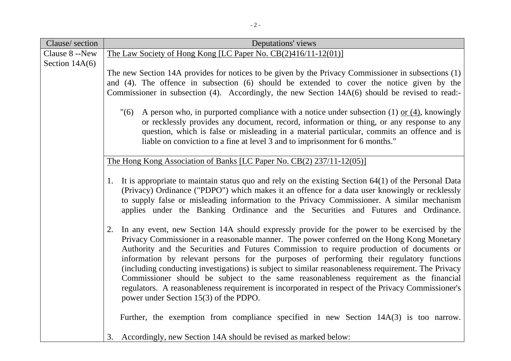| Clause/section   | Deputations' views                                                                                                                                                                            |
|------------------|-----------------------------------------------------------------------------------------------------------------------------------------------------------------------------------------------|
| Clause 8 --New   | The Law Society of Hong Kong [LC Paper No. CB(2)416/11-12(01)]                                                                                                                                |
| Section $14A(6)$ |                                                                                                                                                                                               |
|                  | The new Section 14A provides for notices to be given by the Privacy Commissioner in subsections (1)                                                                                           |
|                  | and (4). The offence in subsection (6) should be extended to cover the notice given by the<br>Commissioner in subsection (4). Accordingly, the new Section 14A(6) should be revised to read:- |
|                  |                                                                                                                                                                                               |
|                  | "(6)<br>A person who, in purported compliance with a notice under subsection $(1)$ or $(4)$ , knowingly                                                                                       |
|                  | or recklessly provides any document, record, information or thing, or any response to any                                                                                                     |
|                  | question, which is false or misleading in a material particular, commits an offence and is<br>liable on conviction to a fine at level 3 and to imprisonment for 6 months."                    |
|                  |                                                                                                                                                                                               |
|                  | The Hong Kong Association of Banks [LC Paper No. CB(2) 237/11-12(05)]                                                                                                                         |
|                  | It is appropriate to maintain status quo and rely on the existing Section $64(1)$ of the Personal Data<br>1.                                                                                  |
|                  | (Privacy) Ordinance ("PDPO") which makes it an offence for a data user knowingly or recklessly                                                                                                |
|                  | to supply false or misleading information to the Privacy Commissioner. A similar mechanism                                                                                                    |
|                  | applies under the Banking Ordinance and the Securities and Futures and Ordinance.                                                                                                             |
|                  | In any event, new Section 14A should expressly provide for the power to be exercised by the<br>2.                                                                                             |
|                  | Privacy Commissioner in a reasonable manner. The power conferred on the Hong Kong Monetary                                                                                                    |
|                  | Authority and the Securities and Futures Commission to require production of documents or                                                                                                     |
|                  | information by relevant persons for the purposes of performing their regulatory functions                                                                                                     |
|                  | (including conducting investigations) is subject to similar reasonableness requirement. The Privacy<br>Commissioner should be subject to the same reasonableness requirement as the financial |
|                  | regulators. A reasonableness requirement is incorporated in respect of the Privacy Commissioner's                                                                                             |
|                  | power under Section 15(3) of the PDPO.                                                                                                                                                        |
|                  |                                                                                                                                                                                               |
|                  | Further, the exemption from compliance specified in new Section $14A(3)$ is too narrow.                                                                                                       |
|                  | Accordingly, new Section 14A should be revised as marked below:<br>3.                                                                                                                         |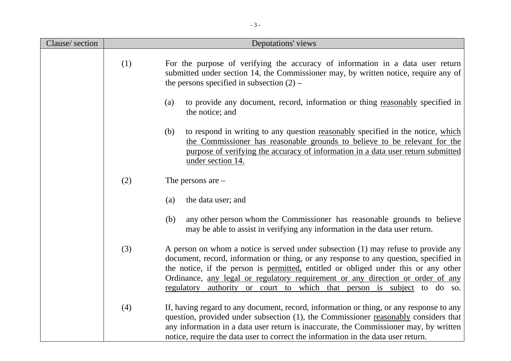| Clause/section |     | Deputations' views                                                                                                                                                                                                                                                                                                                                                                                                               |
|----------------|-----|----------------------------------------------------------------------------------------------------------------------------------------------------------------------------------------------------------------------------------------------------------------------------------------------------------------------------------------------------------------------------------------------------------------------------------|
|                | (1) | For the purpose of verifying the accuracy of information in a data user return<br>submitted under section 14, the Commissioner may, by written notice, require any of<br>the persons specified in subsection $(2)$ –                                                                                                                                                                                                             |
|                |     | to provide any document, record, information or thing reasonably specified in<br>(a)<br>the notice; and                                                                                                                                                                                                                                                                                                                          |
|                |     | (b)<br>to respond in writing to any question reasonably specified in the notice, which<br>the Commissioner has reasonable grounds to believe to be relevant for the<br>purpose of verifying the accuracy of information in a data user return submitted<br>under section 14.                                                                                                                                                     |
|                | (2) | The persons are $-$                                                                                                                                                                                                                                                                                                                                                                                                              |
|                |     | the data user; and<br>(a)                                                                                                                                                                                                                                                                                                                                                                                                        |
|                |     | any other person whom the Commissioner has reasonable grounds to believe<br>(b)<br>may be able to assist in verifying any information in the data user return.                                                                                                                                                                                                                                                                   |
|                | (3) | A person on whom a notice is served under subsection (1) may refuse to provide any<br>document, record, information or thing, or any response to any question, specified in<br>the notice, if the person is permitted, entitled or obliged under this or any other<br>Ordinance, any legal or regulatory requirement or any direction or order of any<br>regulatory authority or court to which that person is subject to do so. |
|                | (4) | If, having regard to any document, record, information or thing, or any response to any<br>question, provided under subsection (1), the Commissioner reasonably considers that<br>any information in a data user return is inaccurate, the Commissioner may, by written<br>notice, require the data user to correct the information in the data user return.                                                                     |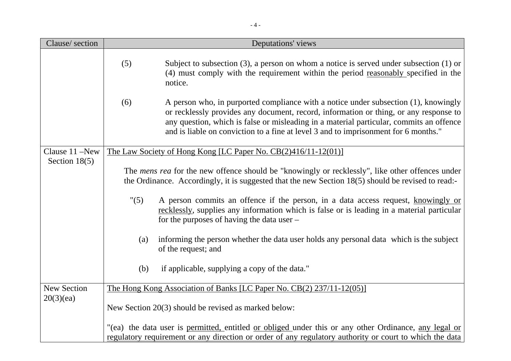| Clause/section     |      | Deputations' views                                                                                                                                                                                                                                                                                                                                             |  |
|--------------------|------|----------------------------------------------------------------------------------------------------------------------------------------------------------------------------------------------------------------------------------------------------------------------------------------------------------------------------------------------------------------|--|
|                    | (5)  | Subject to subsection $(3)$ , a person on whom a notice is served under subsection $(1)$ or<br>(4) must comply with the requirement within the period reasonably specified in the<br>notice.                                                                                                                                                                   |  |
|                    | (6)  | A person who, in purported compliance with a notice under subsection (1), knowingly<br>or recklessly provides any document, record, information or thing, or any response to<br>any question, which is false or misleading in a material particular, commits an offence<br>and is liable on conviction to a fine at level 3 and to imprisonment for 6 months." |  |
| Clause 11 -New     |      | The Law Society of Hong Kong [LC Paper No. CB(2)416/11-12(01)]                                                                                                                                                                                                                                                                                                 |  |
| Section $18(5)$    |      | The <i>mens rea</i> for the new offence should be "knowingly or recklessly", like other offences under<br>the Ordinance. Accordingly, it is suggested that the new Section 18(5) should be revised to read:-                                                                                                                                                   |  |
|                    | "(5) | A person commits an offence if the person, in a data access request, knowingly or<br>recklessly, supplies any information which is false or is leading in a material particular<br>for the purposes of having the data user –                                                                                                                                  |  |
|                    | (a)  | informing the person whether the data user holds any personal data which is the subject<br>of the request; and                                                                                                                                                                                                                                                 |  |
|                    | (b)  | if applicable, supplying a copy of the data."                                                                                                                                                                                                                                                                                                                  |  |
| <b>New Section</b> |      | <u>The Hong Kong Association of Banks [LC Paper No. CB(2) 237/11-12(05)]</u>                                                                                                                                                                                                                                                                                   |  |
| 20(3)(ea)          |      | New Section 20(3) should be revised as marked below:                                                                                                                                                                                                                                                                                                           |  |
|                    |      | "(ea) the data user is permitted, entitled or obliged under this or any other Ordinance, any legal or                                                                                                                                                                                                                                                          |  |
|                    |      | regulatory requirement or any direction or order of any regulatory authority or court to which the data                                                                                                                                                                                                                                                        |  |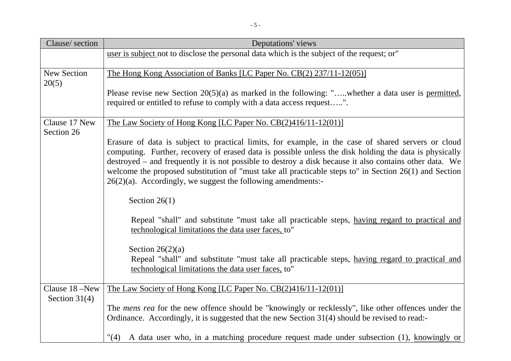| Clause/section              | <b>Deputations'</b> views                                                                                                                                                                                                                                                                                                                                                                                                                                                                             |
|-----------------------------|-------------------------------------------------------------------------------------------------------------------------------------------------------------------------------------------------------------------------------------------------------------------------------------------------------------------------------------------------------------------------------------------------------------------------------------------------------------------------------------------------------|
|                             | user is subject not to disclose the personal data which is the subject of the request; or"                                                                                                                                                                                                                                                                                                                                                                                                            |
| <b>New Section</b><br>20(5) | The Hong Kong Association of Banks [LC Paper No. CB(2) 237/11-12(05)]                                                                                                                                                                                                                                                                                                                                                                                                                                 |
|                             | Please revise new Section $20(5)(a)$ as marked in the following: ",whether a data user is permitted,<br>required or entitled to refuse to comply with a data access request".                                                                                                                                                                                                                                                                                                                         |
| Clause 17 New<br>Section 26 | The Law Society of Hong Kong [LC Paper No. CB(2)416/11-12(01)]                                                                                                                                                                                                                                                                                                                                                                                                                                        |
|                             | Erasure of data is subject to practical limits, for example, in the case of shared servers or cloud<br>computing. Further, recovery of erased data is possible unless the disk holding the data is physically<br>destroyed – and frequently it is not possible to destroy a disk because it also contains other data. We<br>welcome the proposed substitution of "must take all practicable steps to" in Section 26(1) and Section<br>$26(2)(a)$ . Accordingly, we suggest the following amendments:- |
|                             | Section $26(1)$                                                                                                                                                                                                                                                                                                                                                                                                                                                                                       |
|                             | Repeal "shall" and substitute "must take all practicable steps, having regard to practical and<br>technological limitations the data user faces, to"                                                                                                                                                                                                                                                                                                                                                  |
|                             | Section $26(2)(a)$<br>Repeal "shall" and substitute "must take all practicable steps, having regard to practical and<br>technological limitations the data user faces, to"                                                                                                                                                                                                                                                                                                                            |
| Clause 18 –New              | <u>The Law Society of Hong Kong [LC Paper No. CB(2)416/11-12(01)]</u>                                                                                                                                                                                                                                                                                                                                                                                                                                 |
| Section $31(4)$             | The <i>mens rea</i> for the new offence should be "knowingly or recklessly", like other offences under the<br>Ordinance. Accordingly, it is suggested that the new Section 31(4) should be revised to read:-                                                                                                                                                                                                                                                                                          |
|                             | "(4) A data user who, in a matching procedure request made under subsection (1), knowingly or                                                                                                                                                                                                                                                                                                                                                                                                         |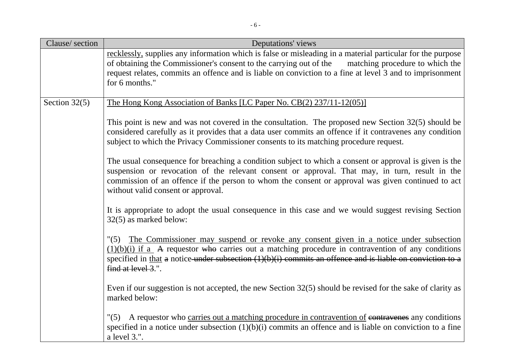| Clause/section  | Deputations' views                                                                                                                                                                                                                                                                                                                                  |
|-----------------|-----------------------------------------------------------------------------------------------------------------------------------------------------------------------------------------------------------------------------------------------------------------------------------------------------------------------------------------------------|
|                 | recklessly, supplies any information which is false or misleading in a material particular for the purpose<br>of obtaining the Commissioner's consent to the carrying out of the<br>matching procedure to which the<br>request relates, commits an offence and is liable on conviction to a fine at level 3 and to imprisonment<br>for 6 months."   |
|                 |                                                                                                                                                                                                                                                                                                                                                     |
| Section $32(5)$ | The Hong Kong Association of Banks [LC Paper No. CB(2) 237/11-12(05)]                                                                                                                                                                                                                                                                               |
|                 | This point is new and was not covered in the consultation. The proposed new Section $32(5)$ should be<br>considered carefully as it provides that a data user commits an offence if it contravenes any condition<br>subject to which the Privacy Commissioner consents to its matching procedure request.                                           |
|                 | The usual consequence for breaching a condition subject to which a consent or approval is given is the<br>suspension or revocation of the relevant consent or approval. That may, in turn, result in the<br>commission of an offence if the person to whom the consent or approval was given continued to act<br>without valid consent or approval. |
|                 | It is appropriate to adopt the usual consequence in this case and we would suggest revising Section<br>32(5) as marked below:                                                                                                                                                                                                                       |
|                 | "(5) The Commissioner may suspend or revoke any consent given in a notice under subsection<br>$(1)(b)(i)$ if a A requestor who carries out a matching procedure in contravention of any conditions<br>specified in that a notice under subsection $(1)(b)(i)$ commits an offence and is liable on conviction to a<br>find at level 3.".             |
|                 | Even if our suggestion is not accepted, the new Section $32(5)$ should be revised for the sake of clarity as<br>marked below:                                                                                                                                                                                                                       |
|                 | A requestor who carries out a matching procedure in contravention of contravenes any conditions<br>"(5)<br>specified in a notice under subsection $(1)(b)(i)$ commits an offence and is liable on conviction to a fine<br>a level 3.".                                                                                                              |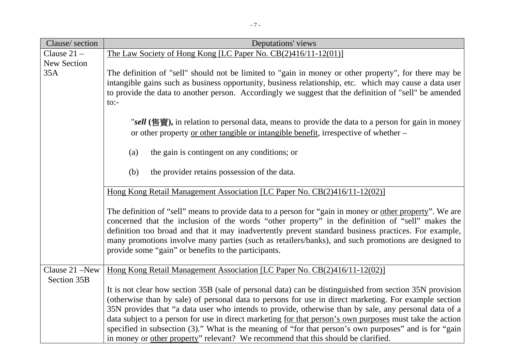| Clause/section     | Deputations' views                                                                                                                                                                                             |
|--------------------|----------------------------------------------------------------------------------------------------------------------------------------------------------------------------------------------------------------|
| Clause $21 -$      | The Law Society of Hong Kong [LC Paper No. CB(2)416/11-12(01)]                                                                                                                                                 |
| <b>New Section</b> |                                                                                                                                                                                                                |
| 35A                | The definition of "sell" should not be limited to "gain in money or other property", for there may be                                                                                                          |
|                    | intangible gains such as business opportunity, business relationship, etc. which may cause a data user                                                                                                         |
|                    | to provide the data to another person. Accordingly we suggest that the definition of "sell" be amended<br>$\text{to}$ :                                                                                        |
|                    |                                                                                                                                                                                                                |
|                    | "sell (售賣), in relation to personal data, means to provide the data to a person for gain in money                                                                                                              |
|                    | or other property or other tangible or intangible benefit, irrespective of whether -                                                                                                                           |
|                    |                                                                                                                                                                                                                |
|                    | the gain is contingent on any conditions; or<br>(a)                                                                                                                                                            |
|                    |                                                                                                                                                                                                                |
|                    | the provider retains possession of the data.<br>(b)                                                                                                                                                            |
|                    |                                                                                                                                                                                                                |
|                    | Hong Kong Retail Management Association [LC Paper No. CB(2)416/11-12(02)]                                                                                                                                      |
|                    | The definition of "sell" means to provide data to a person for "gain in money or other property". We are                                                                                                       |
|                    | concerned that the inclusion of the words "other property" in the definition of "sell" makes the                                                                                                               |
|                    | definition too broad and that it may inadvertently prevent standard business practices. For example,                                                                                                           |
|                    | many promotions involve many parties (such as retailers/banks), and such promotions are designed to                                                                                                            |
|                    | provide some "gain" or benefits to the participants.                                                                                                                                                           |
|                    |                                                                                                                                                                                                                |
| Clause 21 –New     | Hong Kong Retail Management Association [LC Paper No. CB(2)416/11-12(02)]                                                                                                                                      |
| Section 35B        |                                                                                                                                                                                                                |
|                    | It is not clear how section 35B (sale of personal data) can be distinguished from section 35N provision                                                                                                        |
|                    | (otherwise than by sale) of personal data to persons for use in direct marketing. For example section<br>35N provides that "a data user who intends to provide, otherwise than by sale, any personal data of a |
|                    | data subject to a person for use in direct marketing for that person's own purposes must take the action                                                                                                       |
|                    | specified in subsection (3)." What is the meaning of "for that person's own purposes" and is for "gain"                                                                                                        |
|                    | in money or other property" relevant? We recommend that this should be clarified.                                                                                                                              |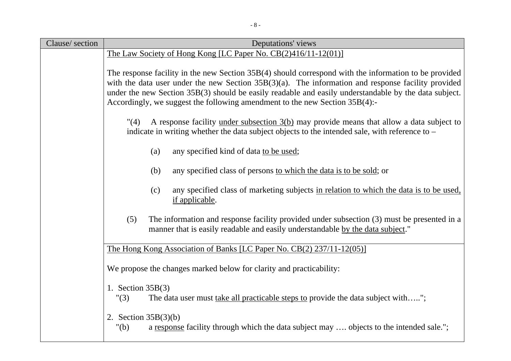| Clause/section | Deputations' views                                                                                                                                                                                                                                                                                                                                                                                     |
|----------------|--------------------------------------------------------------------------------------------------------------------------------------------------------------------------------------------------------------------------------------------------------------------------------------------------------------------------------------------------------------------------------------------------------|
|                | The Law Society of Hong Kong [LC Paper No. $CB(2)416/11-12(01)$ ]                                                                                                                                                                                                                                                                                                                                      |
|                | The response facility in the new Section 35B(4) should correspond with the information to be provided<br>with the data user under the new Section $35B(3)(a)$ . The information and response facility provided<br>under the new Section 35B(3) should be easily readable and easily understandable by the data subject.<br>Accordingly, we suggest the following amendment to the new Section 35B(4):- |
|                | A response facility under subsection 3(b) may provide means that allow a data subject to<br>"(4)<br>indicate in writing whether the data subject objects to the intended sale, with reference to –                                                                                                                                                                                                     |
|                | any specified kind of data to be used;<br>(a)                                                                                                                                                                                                                                                                                                                                                          |
|                | (b)<br>any specified class of persons to which the data is to be sold; or                                                                                                                                                                                                                                                                                                                              |
|                | any specified class of marketing subjects in relation to which the data is to be used,<br>(c)<br>if applicable.                                                                                                                                                                                                                                                                                        |
|                | The information and response facility provided under subsection (3) must be presented in a<br>(5)<br>manner that is easily readable and easily understandable by the data subject."                                                                                                                                                                                                                    |
|                | The Hong Kong Association of Banks [LC Paper No. CB(2) 237/11-12(05)]                                                                                                                                                                                                                                                                                                                                  |
|                | We propose the changes marked below for clarity and practicability:                                                                                                                                                                                                                                                                                                                                    |
|                | 1. Section $35B(3)$<br>The data user must <u>take all practicable steps to</u> provide the data subject with";<br>"(3)                                                                                                                                                                                                                                                                                 |
|                | 2. Section $35B(3)(b)$<br>" $(b)$<br>a response facility through which the data subject may  objects to the intended sale.";                                                                                                                                                                                                                                                                           |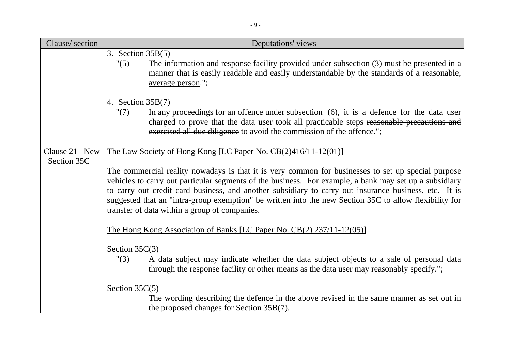| Clause/section                | Deputations' views                                                                                                                                                                                                                                                                                                                                                                                                                                                                                                                                 |
|-------------------------------|----------------------------------------------------------------------------------------------------------------------------------------------------------------------------------------------------------------------------------------------------------------------------------------------------------------------------------------------------------------------------------------------------------------------------------------------------------------------------------------------------------------------------------------------------|
|                               | 3. Section $35B(5)$<br>"(5)<br>The information and response facility provided under subsection (3) must be presented in a<br>manner that is easily readable and easily understandable by the standards of a reasonable,<br>average person.";                                                                                                                                                                                                                                                                                                       |
|                               | 4. Section $35B(7)$<br>In any proceedings for an offence under subsection (6), it is a defence for the data user<br>"(7)<br>charged to prove that the data user took all practicable steps reasonable precautions and<br>exercised all due diligence to avoid the commission of the offence.";                                                                                                                                                                                                                                                     |
| Clause 21 -New<br>Section 35C | The Law Society of Hong Kong [LC Paper No. CB(2)416/11-12(01)]<br>The commercial reality nowadays is that it is very common for businesses to set up special purpose<br>vehicles to carry out particular segments of the business. For example, a bank may set up a subsidiary<br>to carry out credit card business, and another subsidiary to carry out insurance business, etc. It is<br>suggested that an "intra-group exemption" be written into the new Section 35C to allow flexibility for<br>transfer of data within a group of companies. |
|                               | The Hong Kong Association of Banks [LC Paper No. CB(2) 237/11-12(05)]<br>Section $35C(3)$<br>"(3)<br>A data subject may indicate whether the data subject objects to a sale of personal data<br>through the response facility or other means as the data user may reasonably specify.";<br>Section $35C(5)$<br>The wording describing the defence in the above revised in the same manner as set out in<br>the proposed changes for Section 35B(7).                                                                                                |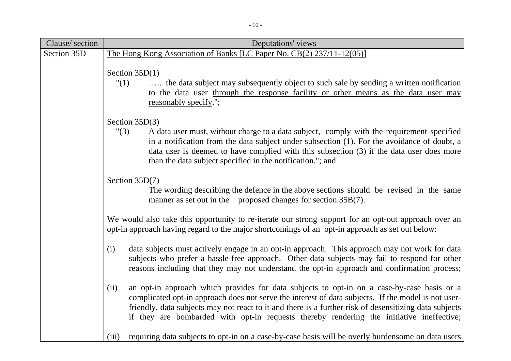| Clause/section | Deputations' views                                                                                                                                                                                                                                                                                                                                                                                              |
|----------------|-----------------------------------------------------------------------------------------------------------------------------------------------------------------------------------------------------------------------------------------------------------------------------------------------------------------------------------------------------------------------------------------------------------------|
| Section 35D    | The Hong Kong Association of Banks [LC Paper No. CB(2) 237/11-12(05)]                                                                                                                                                                                                                                                                                                                                           |
|                | Section $35D(1)$<br>"(1)<br>the data subject may subsequently object to such sale by sending a written notification<br>to the data user through the response facility or other means as the data user may<br>reasonably specify.";                                                                                                                                                                              |
|                | Section $35D(3)$                                                                                                                                                                                                                                                                                                                                                                                                |
|                | "(3)<br>A data user must, without charge to a data subject, comply with the requirement specified<br>in a notification from the data subject under subsection (1). For the avoidance of doubt, a<br>data user is deemed to have complied with this subsection (3) if the data user does more<br>than the data subject specified in the notification."; and                                                      |
|                | Section $35D(7)$                                                                                                                                                                                                                                                                                                                                                                                                |
|                | The wording describing the defence in the above sections should be revised in the same<br>manner as set out in the proposed changes for section 35B(7).                                                                                                                                                                                                                                                         |
|                | We would also take this opportunity to re-iterate our strong support for an opt-out approach over an<br>opt-in approach having regard to the major shortcomings of an opt-in approach as set out below:                                                                                                                                                                                                         |
|                | data subjects must actively engage in an opt-in approach. This approach may not work for data<br>(i)<br>subjects who prefer a hassle-free approach. Other data subjects may fail to respond for other<br>reasons including that they may not understand the opt-in approach and confirmation process;                                                                                                           |
|                | an opt-in approach which provides for data subjects to opt-in on a case-by-case basis or a<br>(ii)<br>complicated opt-in approach does not serve the interest of data subjects. If the model is not user-<br>friendly, data subjects may not react to it and there is a further risk of desensitizing data subjects<br>if they are bombarded with opt-in requests thereby rendering the initiative ineffective; |
|                | (iii)<br>requiring data subjects to opt-in on a case-by-case basis will be overly burdensome on data users                                                                                                                                                                                                                                                                                                      |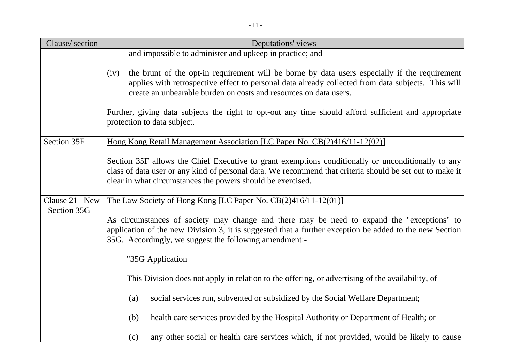| Clause/section | Deputations' views                                                                                                                                                                                                                                                               |
|----------------|----------------------------------------------------------------------------------------------------------------------------------------------------------------------------------------------------------------------------------------------------------------------------------|
|                | and impossible to administer and upkeep in practice; and                                                                                                                                                                                                                         |
|                | the brunt of the opt-in requirement will be borne by data users especially if the requirement<br>(iv)<br>applies with retrospective effect to personal data already collected from data subjects. This will<br>create an unbearable burden on costs and resources on data users. |
|                | Further, giving data subjects the right to opt-out any time should afford sufficient and appropriate<br>protection to data subject.                                                                                                                                              |
| Section 35F    | Hong Kong Retail Management Association [LC Paper No. CB(2)416/11-12(02)]                                                                                                                                                                                                        |
|                | Section 35F allows the Chief Executive to grant exemptions conditionally or unconditionally to any<br>class of data user or any kind of personal data. We recommend that criteria should be set out to make it<br>clear in what circumstances the powers should be exercised.    |
| Clause 21 –New | The Law Society of Hong Kong [LC Paper No. CB(2)416/11-12(01)]                                                                                                                                                                                                                   |
| Section 35G    | As circumstances of society may change and there may be need to expand the "exceptions" to<br>application of the new Division 3, it is suggested that a further exception be added to the new Section<br>35G. Accordingly, we suggest the following amendment:-                  |
|                | "35G Application                                                                                                                                                                                                                                                                 |
|                | This Division does not apply in relation to the offering, or advertising of the availability, of $-$                                                                                                                                                                             |
|                | social services run, subvented or subsidized by the Social Welfare Department;<br>(a)                                                                                                                                                                                            |
|                | health care services provided by the Hospital Authority or Department of Health; or<br>(b)                                                                                                                                                                                       |
|                | any other social or health care services which, if not provided, would be likely to cause<br>(c)                                                                                                                                                                                 |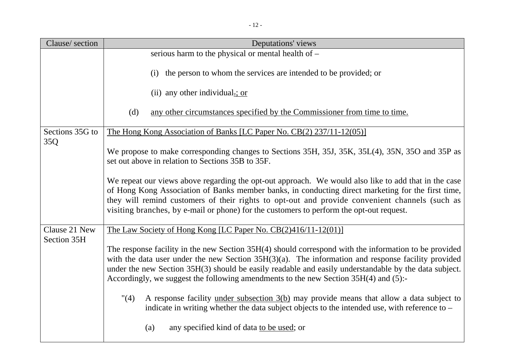| Clause/section  | Deputations' views                                                                                                                                                                                                                                                                                                                                                                                              |  |  |
|-----------------|-----------------------------------------------------------------------------------------------------------------------------------------------------------------------------------------------------------------------------------------------------------------------------------------------------------------------------------------------------------------------------------------------------------------|--|--|
|                 | serious harm to the physical or mental health of -                                                                                                                                                                                                                                                                                                                                                              |  |  |
|                 | the person to whom the services are intended to be provided; or<br>(i)                                                                                                                                                                                                                                                                                                                                          |  |  |
|                 | (ii) any other individual $\pm$ ; or                                                                                                                                                                                                                                                                                                                                                                            |  |  |
|                 | (d)<br>any other circumstances specified by the Commissioner from time to time.                                                                                                                                                                                                                                                                                                                                 |  |  |
| Sections 35G to | The Hong Kong Association of Banks [LC Paper No. CB(2) 237/11-12(05)]                                                                                                                                                                                                                                                                                                                                           |  |  |
| 35Q             | We propose to make corresponding changes to Sections 35H, 35J, 35K, 35L(4), 35N, 35O and 35P as<br>set out above in relation to Sections 35B to 35F.                                                                                                                                                                                                                                                            |  |  |
|                 | We repeat our views above regarding the opt-out approach. We would also like to add that in the case<br>of Hong Kong Association of Banks member banks, in conducting direct marketing for the first time,<br>they will remind customers of their rights to opt-out and provide convenient channels (such as<br>visiting branches, by e-mail or phone) for the customers to perform the opt-out request.        |  |  |
| Clause 21 New   | The Law Society of Hong Kong [LC Paper No. CB(2)416/11-12(01)]                                                                                                                                                                                                                                                                                                                                                  |  |  |
| Section 35H     | The response facility in the new Section 35H(4) should correspond with the information to be provided<br>with the data user under the new Section $35H(3)(a)$ . The information and response facility provided<br>under the new Section 35H(3) should be easily readable and easily understandable by the data subject.<br>Accordingly, we suggest the following amendments to the new Section 35H(4) and (5):- |  |  |
|                 | "(4)<br>A response facility <u>under subsection <math>3(b)</math></u> may provide means that allow a data subject to<br>indicate in writing whether the data subject objects to the intended use, with reference to –                                                                                                                                                                                           |  |  |
|                 | any specified kind of data to be used; or<br>(a)                                                                                                                                                                                                                                                                                                                                                                |  |  |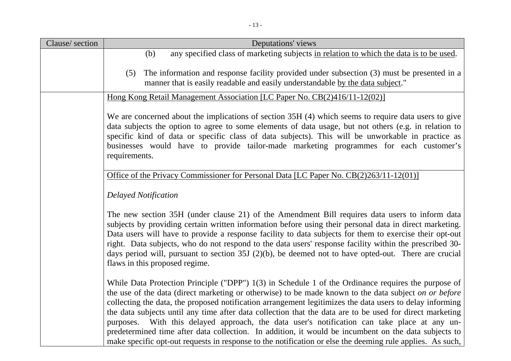| Clause/section | Deputations' views                                                                                                                                                                                                                                                                                                                                                                                                                                                                                                                                                                                                                           |
|----------------|----------------------------------------------------------------------------------------------------------------------------------------------------------------------------------------------------------------------------------------------------------------------------------------------------------------------------------------------------------------------------------------------------------------------------------------------------------------------------------------------------------------------------------------------------------------------------------------------------------------------------------------------|
|                | any specified class of marketing subjects in relation to which the data is to be used.<br>(b)                                                                                                                                                                                                                                                                                                                                                                                                                                                                                                                                                |
|                | The information and response facility provided under subsection (3) must be presented in a<br>(5)<br>manner that is easily readable and easily understandable by the data subject."                                                                                                                                                                                                                                                                                                                                                                                                                                                          |
|                | Hong Kong Retail Management Association [LC Paper No. CB(2)416/11-12(02)]                                                                                                                                                                                                                                                                                                                                                                                                                                                                                                                                                                    |
|                | We are concerned about the implications of section 35H (4) which seems to require data users to give<br>data subjects the option to agree to some elements of data usage, but not others (e.g. in relation to<br>specific kind of data or specific class of data subjects). This will be unworkable in practice as<br>businesses would have to provide tailor-made marketing programmes for each customer's<br>requirements.                                                                                                                                                                                                                 |
|                | Office of the Privacy Commissioner for Personal Data [LC Paper No. CB(2)263/11-12(01)]                                                                                                                                                                                                                                                                                                                                                                                                                                                                                                                                                       |
|                | <b>Delayed Notification</b>                                                                                                                                                                                                                                                                                                                                                                                                                                                                                                                                                                                                                  |
|                | The new section 35H (under clause 21) of the Amendment Bill requires data users to inform data<br>subjects by providing certain written information before using their personal data in direct marketing.<br>Data users will have to provide a response facility to data subjects for them to exercise their opt-out<br>right. Data subjects, who do not respond to the data users' response facility within the prescribed 30-<br>days period will, pursuant to section $35J(2)(b)$ , be deemed not to have opted-out. There are crucial<br>flaws in this proposed regime.                                                                  |
|                | While Data Protection Principle ("DPP") 1(3) in Schedule 1 of the Ordinance requires the purpose of<br>the use of the data (direct marketing or otherwise) to be made known to the data subject on or before<br>collecting the data, the proposed notification arrangement legitimizes the data users to delay informing<br>the data subjects until any time after data collection that the data are to be used for direct marketing<br>purposes. With this delayed approach, the data user's notification can take place at any un-<br>predetermined time after data collection. In addition, it would be incumbent on the data subjects to |
|                | make specific opt-out requests in response to the notification or else the deeming rule applies. As such,                                                                                                                                                                                                                                                                                                                                                                                                                                                                                                                                    |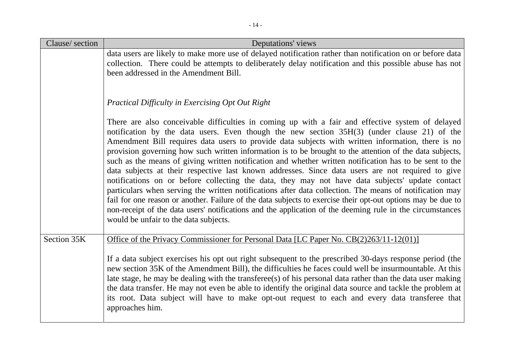| Clause/section | Deputations' views                                                                                                                                                                                                                                                                                                                                                                                                                                                                                                                                                                                                                                                                                                                                                                                                                                                                                                                                                                                                                                                                                                   |
|----------------|----------------------------------------------------------------------------------------------------------------------------------------------------------------------------------------------------------------------------------------------------------------------------------------------------------------------------------------------------------------------------------------------------------------------------------------------------------------------------------------------------------------------------------------------------------------------------------------------------------------------------------------------------------------------------------------------------------------------------------------------------------------------------------------------------------------------------------------------------------------------------------------------------------------------------------------------------------------------------------------------------------------------------------------------------------------------------------------------------------------------|
|                | data users are likely to make more use of delayed notification rather than notification on or before data<br>collection. There could be attempts to deliberately delay notification and this possible abuse has not<br>been addressed in the Amendment Bill.                                                                                                                                                                                                                                                                                                                                                                                                                                                                                                                                                                                                                                                                                                                                                                                                                                                         |
|                | Practical Difficulty in Exercising Opt Out Right                                                                                                                                                                                                                                                                                                                                                                                                                                                                                                                                                                                                                                                                                                                                                                                                                                                                                                                                                                                                                                                                     |
|                | There are also conceivable difficulties in coming up with a fair and effective system of delayed<br>notification by the data users. Even though the new section 35H(3) (under clause 21) of the<br>Amendment Bill requires data users to provide data subjects with written information, there is no<br>provision governing how such written information is to be brought to the attention of the data subjects,<br>such as the means of giving written notification and whether written notification has to be sent to the<br>data subjects at their respective last known addresses. Since data users are not required to give<br>notifications on or before collecting the data, they may not have data subjects' update contact<br>particulars when serving the written notifications after data collection. The means of notification may<br>fail for one reason or another. Failure of the data subjects to exercise their opt-out options may be due to<br>non-receipt of the data users' notifications and the application of the deeming rule in the circumstances<br>would be unfair to the data subjects. |
| Section 35K    | Office of the Privacy Commissioner for Personal Data [LC Paper No. CB(2)263/11-12(01)]                                                                                                                                                                                                                                                                                                                                                                                                                                                                                                                                                                                                                                                                                                                                                                                                                                                                                                                                                                                                                               |
|                | If a data subject exercises his opt out right subsequent to the prescribed 30-days response period (the<br>new section 35K of the Amendment Bill), the difficulties he faces could well be insurmountable. At this<br>late stage, he may be dealing with the transferee(s) of his personal data rather than the data user making<br>the data transfer. He may not even be able to identify the original data source and tackle the problem at<br>its root. Data subject will have to make opt-out request to each and every data transferee that<br>approaches him.                                                                                                                                                                                                                                                                                                                                                                                                                                                                                                                                                  |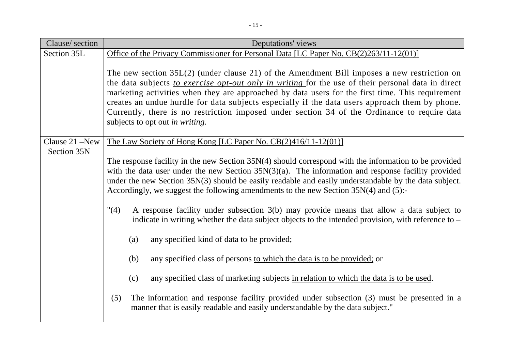| Clause/section | Deputations' views                                                                                                                                                                                                                                                                                                                                                                                                                                                                                                                           |
|----------------|----------------------------------------------------------------------------------------------------------------------------------------------------------------------------------------------------------------------------------------------------------------------------------------------------------------------------------------------------------------------------------------------------------------------------------------------------------------------------------------------------------------------------------------------|
| Section 35L    | Office of the Privacy Commissioner for Personal Data [LC Paper No. CB(2)263/11-12(01)]                                                                                                                                                                                                                                                                                                                                                                                                                                                       |
|                | The new section $35L(2)$ (under clause 21) of the Amendment Bill imposes a new restriction on<br>the data subjects to exercise opt-out only in writing for the use of their personal data in direct<br>marketing activities when they are approached by data users for the first time. This requirement<br>creates an undue hurdle for data subjects especially if the data users approach them by phone.<br>Currently, there is no restriction imposed under section 34 of the Ordinance to require data<br>subjects to opt out in writing. |
| Clause 21 –New | The Law Society of Hong Kong [LC Paper No. CB(2)416/11-12(01)]                                                                                                                                                                                                                                                                                                                                                                                                                                                                               |
| Section 35N    | The response facility in the new Section $35N(4)$ should correspond with the information to be provided<br>with the data user under the new Section $35N(3)(a)$ . The information and response facility provided<br>under the new Section 35N(3) should be easily readable and easily understandable by the data subject.<br>Accordingly, we suggest the following amendments to the new Section 35N(4) and (5):-                                                                                                                            |
|                | "(4)<br>A response facility under subsection 3(b) may provide means that allow a data subject to<br>indicate in writing whether the data subject objects to the intended provision, with reference to $-$                                                                                                                                                                                                                                                                                                                                    |
|                | (a)<br>any specified kind of data to be provided;                                                                                                                                                                                                                                                                                                                                                                                                                                                                                            |
|                | (b)<br>any specified class of persons to which the data is to be provided; or                                                                                                                                                                                                                                                                                                                                                                                                                                                                |
|                | any specified class of marketing subjects in relation to which the data is to be used.<br>(c)                                                                                                                                                                                                                                                                                                                                                                                                                                                |
|                | The information and response facility provided under subsection (3) must be presented in a<br>(5)<br>manner that is easily readable and easily understandable by the data subject."                                                                                                                                                                                                                                                                                                                                                          |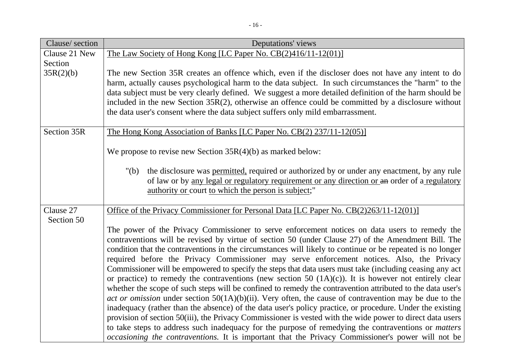| Clause/section | Deputations' views                                                                                                                                                                                                    |
|----------------|-----------------------------------------------------------------------------------------------------------------------------------------------------------------------------------------------------------------------|
| Clause 21 New  | The Law Society of Hong Kong [LC Paper No. CB(2)416/11-12(01)]                                                                                                                                                        |
| Section        |                                                                                                                                                                                                                       |
| 35R(2)(b)      | The new Section 35R creates an offence which, even if the discloser does not have any intent to do                                                                                                                    |
|                | harm, actually causes psychological harm to the data subject. In such circumstances the "harm" to the                                                                                                                 |
|                | data subject must be very clearly defined. We suggest a more detailed definition of the harm should be                                                                                                                |
|                | included in the new Section 35R(2), otherwise an offence could be committed by a disclosure without                                                                                                                   |
|                | the data user's consent where the data subject suffers only mild embarrassment.                                                                                                                                       |
| Section 35R    | The Hong Kong Association of Banks [LC Paper No. CB(2) 237/11-12(05)]                                                                                                                                                 |
|                |                                                                                                                                                                                                                       |
|                | We propose to revise new Section $35R(4)(b)$ as marked below:                                                                                                                                                         |
|                | the disclosure was permitted, required or authorized by or under any enactment, by any rule<br>" $(b)$                                                                                                                |
|                | of law or by any legal or regulatory requirement or any direction or an order of a regulatory                                                                                                                         |
|                | authority or court to which the person is subject;"                                                                                                                                                                   |
| Clause 27      | Office of the Privacy Commissioner for Personal Data [LC Paper No. CB(2)263/11-12(01)]                                                                                                                                |
| Section 50     |                                                                                                                                                                                                                       |
|                | The power of the Privacy Commissioner to serve enforcement notices on data users to remedy the                                                                                                                        |
|                | contraventions will be revised by virtue of section 50 (under Clause 27) of the Amendment Bill. The                                                                                                                   |
|                | condition that the contraventions in the circumstances will likely to continue or be repeated is no longer                                                                                                            |
|                | required before the Privacy Commissioner may serve enforcement notices. Also, the Privacy                                                                                                                             |
|                | Commissioner will be empowered to specify the steps that data users must take (including ceasing any act                                                                                                              |
|                | or practice) to remedy the contraventions (new section 50 $(1A)(c)$ ). It is however not entirely clear                                                                                                               |
|                | whether the scope of such steps will be confined to remedy the contravention attributed to the data user's                                                                                                            |
|                | act or omission under section $50(1A)(b)(ii)$ . Very often, the cause of contravention may be due to the<br>inadequacy (rather than the absence) of the data user's policy practice, or procedure. Under the existing |
|                | provision of section 50(iii), the Privacy Commissioner is vested with the wide power to direct data users                                                                                                             |
|                | to take steps to address such inadequacy for the purpose of remedying the contraventions or <i>matters</i>                                                                                                            |
|                | <i>occasioning the contraventions.</i> It is important that the Privacy Commissioner's power will not be                                                                                                              |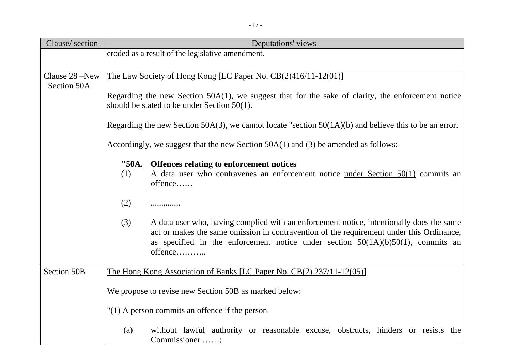| Clause/section | Deputations' views                                                                                                                                                                                                                                                                           |
|----------------|----------------------------------------------------------------------------------------------------------------------------------------------------------------------------------------------------------------------------------------------------------------------------------------------|
|                | eroded as a result of the legislative amendment.                                                                                                                                                                                                                                             |
|                |                                                                                                                                                                                                                                                                                              |
| Clause 28 -New | The Law Society of Hong Kong [LC Paper No. CB(2)416/11-12(01)]                                                                                                                                                                                                                               |
| Section 50A    |                                                                                                                                                                                                                                                                                              |
|                | Regarding the new Section $50A(1)$ , we suggest that for the sake of clarity, the enforcement notice<br>should be stated to be under Section $50(1)$ .                                                                                                                                       |
|                |                                                                                                                                                                                                                                                                                              |
|                | Regarding the new Section 50A(3), we cannot locate "section $50(1A)(b)$ and believe this to be an error.                                                                                                                                                                                     |
|                | Accordingly, we suggest that the new Section $50A(1)$ and (3) be amended as follows:-                                                                                                                                                                                                        |
|                | "50A. Offences relating to enforcement notices                                                                                                                                                                                                                                               |
|                | A data user who contravenes an enforcement notice <u>under Section <math>50(1)</math></u> commits an<br>(1)<br>offence                                                                                                                                                                       |
|                | (2)<br>                                                                                                                                                                                                                                                                                      |
|                | A data user who, having complied with an enforcement notice, intentionally does the same<br>(3)<br>act or makes the same omission in contravention of the requirement under this Ordinance,<br>as specified in the enforcement notice under section $50(1A)(b)50(1)$ , commits an<br>offence |
| Section 50B    | The Hong Kong Association of Banks [LC Paper No. CB(2) 237/11-12(05)]                                                                                                                                                                                                                        |
|                | We propose to revise new Section 50B as marked below:                                                                                                                                                                                                                                        |
|                | $"(1)$ A person commits an offence if the person-                                                                                                                                                                                                                                            |
|                | without lawful <u>authority</u> or reasonable excuse, obstructs, hinders or resists the<br>(a)<br>Commissioner                                                                                                                                                                               |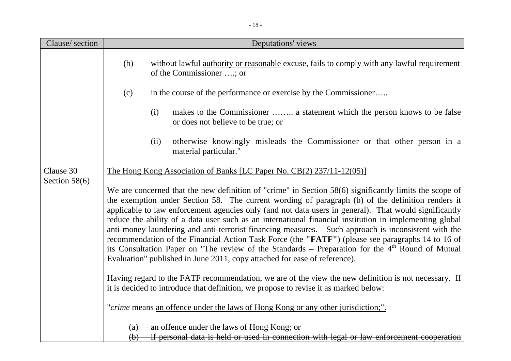| Clause/section  | Deputations' views                                                                                                                                                                                                                                                                                                                                                                                                                                                                                                                                                                                                                                                                                                                                                                                                                                                                                                                     |
|-----------------|----------------------------------------------------------------------------------------------------------------------------------------------------------------------------------------------------------------------------------------------------------------------------------------------------------------------------------------------------------------------------------------------------------------------------------------------------------------------------------------------------------------------------------------------------------------------------------------------------------------------------------------------------------------------------------------------------------------------------------------------------------------------------------------------------------------------------------------------------------------------------------------------------------------------------------------|
|                 | without lawful <u>authority</u> or reasonable excuse, fails to comply with any lawful requirement<br>(b)<br>of the Commissioner ; or                                                                                                                                                                                                                                                                                                                                                                                                                                                                                                                                                                                                                                                                                                                                                                                                   |
|                 | in the course of the performance or exercise by the Commissioner<br>(c)                                                                                                                                                                                                                                                                                                                                                                                                                                                                                                                                                                                                                                                                                                                                                                                                                                                                |
|                 | makes to the Commissioner  a statement which the person knows to be false<br>(i)<br>or does not believe to be true; or                                                                                                                                                                                                                                                                                                                                                                                                                                                                                                                                                                                                                                                                                                                                                                                                                 |
|                 | otherwise knowingly misleads the Commissioner or that other person in a<br>(ii)<br>material particular."                                                                                                                                                                                                                                                                                                                                                                                                                                                                                                                                                                                                                                                                                                                                                                                                                               |
| Clause 30       | <u>The Hong Kong Association of Banks [LC Paper No. CB(2) 237/11-12(05)]</u>                                                                                                                                                                                                                                                                                                                                                                                                                                                                                                                                                                                                                                                                                                                                                                                                                                                           |
| Section $58(6)$ | We are concerned that the new definition of "crime" in Section 58(6) significantly limits the scope of<br>the exemption under Section 58. The current wording of paragraph (b) of the definition renders it<br>applicable to law enforcement agencies only (and not data users in general). That would significantly<br>reduce the ability of a data user such as an international financial institution in implementing global<br>anti-money laundering and anti-terrorist financing measures. Such approach is inconsistent with the<br>recommendation of the Financial Action Task Force (the "FATF") (please see paragraphs 14 to 16 of<br>its Consultation Paper on "The review of the Standards – Preparation for the $4th$ Round of Mutual<br>Evaluation" published in June 2011, copy attached for ease of reference).<br>Having regard to the FATF recommendation, we are of the view the new definition is not necessary. If |
|                 | it is decided to introduce that definition, we propose to revise it as marked below:                                                                                                                                                                                                                                                                                                                                                                                                                                                                                                                                                                                                                                                                                                                                                                                                                                                   |
|                 | "crime means an offence under the laws of Hong Kong or any other jurisdiction;".                                                                                                                                                                                                                                                                                                                                                                                                                                                                                                                                                                                                                                                                                                                                                                                                                                                       |
|                 | an offence under the laws of Hong Kong; or<br>(a)<br>(b) if personal data is held or used in connection with legal or law enforcement cooperation                                                                                                                                                                                                                                                                                                                                                                                                                                                                                                                                                                                                                                                                                                                                                                                      |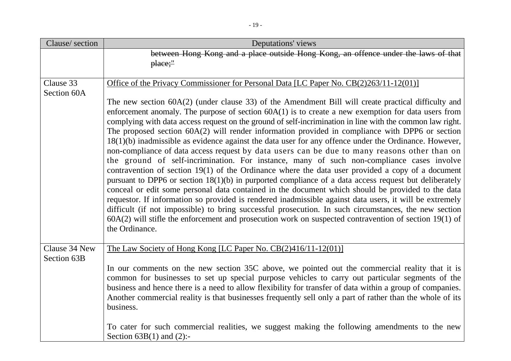| Clause/section               | Deputations' views                                                                                                                                                                                                                                                                                                                                                                                                                                                                                                                                                                                                                                                                                                                                                                                                                                                                                                                                                                                                                                                                                                                                                                                                                                                                                                                                                                                               |
|------------------------------|------------------------------------------------------------------------------------------------------------------------------------------------------------------------------------------------------------------------------------------------------------------------------------------------------------------------------------------------------------------------------------------------------------------------------------------------------------------------------------------------------------------------------------------------------------------------------------------------------------------------------------------------------------------------------------------------------------------------------------------------------------------------------------------------------------------------------------------------------------------------------------------------------------------------------------------------------------------------------------------------------------------------------------------------------------------------------------------------------------------------------------------------------------------------------------------------------------------------------------------------------------------------------------------------------------------------------------------------------------------------------------------------------------------|
|                              | between Hong Kong and a place outside Hong Kong, an offence under the laws of that<br>$place$ "                                                                                                                                                                                                                                                                                                                                                                                                                                                                                                                                                                                                                                                                                                                                                                                                                                                                                                                                                                                                                                                                                                                                                                                                                                                                                                                  |
| Clause 33<br>Section 60A     | Office of the Privacy Commissioner for Personal Data [LC Paper No. CB(2)263/11-12(01)]                                                                                                                                                                                                                                                                                                                                                                                                                                                                                                                                                                                                                                                                                                                                                                                                                                                                                                                                                                                                                                                                                                                                                                                                                                                                                                                           |
|                              | The new section 60A(2) (under clause 33) of the Amendment Bill will create practical difficulty and<br>enforcement anomaly. The purpose of section $60A(1)$ is to create a new exemption for data users from<br>complying with data access request on the ground of self-incrimination in line with the common law right.<br>The proposed section $60A(2)$ will render information provided in compliance with DPP6 or section<br>$18(1)(b)$ inadmissible as evidence against the data user for any offence under the Ordinance. However,<br>non-compliance of data access request by data users can be due to many reasons other than on<br>the ground of self-incrimination. For instance, many of such non-compliance cases involve<br>contravention of section $19(1)$ of the Ordinance where the data user provided a copy of a document<br>pursuant to DPP6 or section $18(1)(b)$ in purported compliance of a data access request but deliberately<br>conceal or edit some personal data contained in the document which should be provided to the data<br>requestor. If information so provided is rendered inadmissible against data users, it will be extremely<br>difficult (if not impossible) to bring successful prosecution. In such circumstances, the new section<br>$60A(2)$ will stifle the enforcement and prosecution work on suspected contravention of section 19(1) of<br>the Ordinance. |
| Clause 34 New<br>Section 63B | The Law Society of Hong Kong [LC Paper No. $CB(2)416/11-12(01)$ ]                                                                                                                                                                                                                                                                                                                                                                                                                                                                                                                                                                                                                                                                                                                                                                                                                                                                                                                                                                                                                                                                                                                                                                                                                                                                                                                                                |
|                              | In our comments on the new section 35C above, we pointed out the commercial reality that it is<br>common for businesses to set up special purpose vehicles to carry out particular segments of the<br>business and hence there is a need to allow flexibility for transfer of data within a group of companies.<br>Another commercial reality is that businesses frequently sell only a part of rather than the whole of its<br>business.                                                                                                                                                                                                                                                                                                                                                                                                                                                                                                                                                                                                                                                                                                                                                                                                                                                                                                                                                                        |
|                              | To cater for such commercial realities, we suggest making the following amendments to the new<br>Section $63B(1)$ and $(2)$ :-                                                                                                                                                                                                                                                                                                                                                                                                                                                                                                                                                                                                                                                                                                                                                                                                                                                                                                                                                                                                                                                                                                                                                                                                                                                                                   |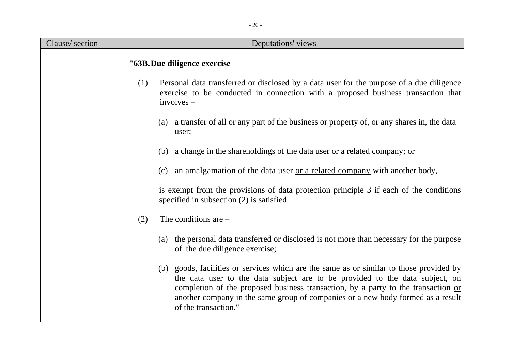| Clause/section | Deputations' views                                                                                                                                                                                                                                                                                                                                                      |
|----------------|-------------------------------------------------------------------------------------------------------------------------------------------------------------------------------------------------------------------------------------------------------------------------------------------------------------------------------------------------------------------------|
|                | "63B. Due diligence exercise                                                                                                                                                                                                                                                                                                                                            |
|                | (1)<br>Personal data transferred or disclosed by a data user for the purpose of a due diligence<br>exercise to be conducted in connection with a proposed business transaction that<br>$involves -$                                                                                                                                                                     |
|                | (a) a transfer of all or any part of the business or property of, or any shares in, the data<br>user;                                                                                                                                                                                                                                                                   |
|                | (b) a change in the shareholdings of the data user <u>or a related company</u> ; or                                                                                                                                                                                                                                                                                     |
|                | (c) an amalgamation of the data user <u>or a related company</u> with another body,                                                                                                                                                                                                                                                                                     |
|                | is exempt from the provisions of data protection principle 3 if each of the conditions<br>specified in subsection (2) is satisfied.                                                                                                                                                                                                                                     |
|                | The conditions are $-$<br>(2)                                                                                                                                                                                                                                                                                                                                           |
|                | (a) the personal data transferred or disclosed is not more than necessary for the purpose<br>of the due diligence exercise;                                                                                                                                                                                                                                             |
|                | (b) goods, facilities or services which are the same as or similar to those provided by<br>the data user to the data subject are to be provided to the data subject, on<br>completion of the proposed business transaction, by a party to the transaction or<br>another company in the same group of companies or a new body formed as a result<br>of the transaction." |

- 20 -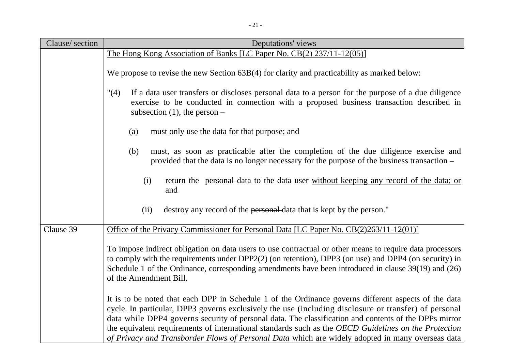| Clause/section | Deputations' views                                                                                                                                                                                                                                                                                                                                                                                                                                                                                                                 |
|----------------|------------------------------------------------------------------------------------------------------------------------------------------------------------------------------------------------------------------------------------------------------------------------------------------------------------------------------------------------------------------------------------------------------------------------------------------------------------------------------------------------------------------------------------|
|                | The Hong Kong Association of Banks [LC Paper No. CB(2) 237/11-12(05)]                                                                                                                                                                                                                                                                                                                                                                                                                                                              |
|                | We propose to revise the new Section 63B(4) for clarity and practicability as marked below:                                                                                                                                                                                                                                                                                                                                                                                                                                        |
|                | If a data user transfers or discloses personal data to a person for the purpose of a due diligence<br>"(4)<br>exercise to be conducted in connection with a proposed business transaction described in<br>subsection $(1)$ , the person –                                                                                                                                                                                                                                                                                          |
|                | must only use the data for that purpose; and<br>(a)                                                                                                                                                                                                                                                                                                                                                                                                                                                                                |
|                | must, as soon as practicable after the completion of the due diligence exercise and<br>(b)<br>provided that the data is no longer necessary for the purpose of the business transaction –                                                                                                                                                                                                                                                                                                                                          |
|                | return the personal data to the data user without keeping any record of the data; or<br>(i)<br>and                                                                                                                                                                                                                                                                                                                                                                                                                                 |
|                | destroy any record of the personal-data that is kept by the person."<br>(ii)                                                                                                                                                                                                                                                                                                                                                                                                                                                       |
| Clause 39      | Office of the Privacy Commissioner for Personal Data [LC Paper No. CB(2)263/11-12(01)]                                                                                                                                                                                                                                                                                                                                                                                                                                             |
|                | To impose indirect obligation on data users to use contractual or other means to require data processors<br>to comply with the requirements under DPP2(2) (on retention), DPP3 (on use) and DPP4 (on security) in<br>Schedule 1 of the Ordinance, corresponding amendments have been introduced in clause 39(19) and (26)<br>of the Amendment Bill.                                                                                                                                                                                |
|                | It is to be noted that each DPP in Schedule 1 of the Ordinance governs different aspects of the data<br>cycle. In particular, DPP3 governs exclusively the use (including disclosure or transfer) of personal<br>data while DPP4 governs security of personal data. The classification and contents of the DPPs mirror<br>the equivalent requirements of international standards such as the OECD Guidelines on the Protection<br>of Privacy and Transborder Flows of Personal Data which are widely adopted in many overseas data |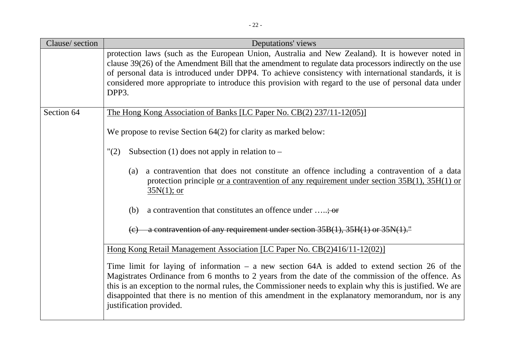| Clause/section | Deputations' views                                                                                                                                                                                                                                                                                                                                                                                                                                |
|----------------|---------------------------------------------------------------------------------------------------------------------------------------------------------------------------------------------------------------------------------------------------------------------------------------------------------------------------------------------------------------------------------------------------------------------------------------------------|
|                | protection laws (such as the European Union, Australia and New Zealand). It is however noted in<br>clause 39(26) of the Amendment Bill that the amendment to regulate data processors indirectly on the use<br>of personal data is introduced under DPP4. To achieve consistency with international standards, it is<br>considered more appropriate to introduce this provision with regard to the use of personal data under<br>DPP3.            |
| Section 64     | <u>The Hong Kong Association of Banks [LC Paper No. CB(2) 237/11-12(05)]</u>                                                                                                                                                                                                                                                                                                                                                                      |
|                | We propose to revise Section $64(2)$ for clarity as marked below:                                                                                                                                                                                                                                                                                                                                                                                 |
|                | "(2)<br>Subsection (1) does not apply in relation to $-$                                                                                                                                                                                                                                                                                                                                                                                          |
|                | a contravention that does not constitute an offence including a contravention of a data<br>(a)<br>protection principle <u>or a contravention of any requirement under section <math>35B(1)</math>, <math>35H(1)</math> or</u><br>$35N(1)$ ; or                                                                                                                                                                                                    |
|                | (b)<br>a contravention that constitutes an offence under $\dots$ ; or                                                                                                                                                                                                                                                                                                                                                                             |
|                | a contravention of any requirement under section 35B(1), 35H(1) or 35N(1)."                                                                                                                                                                                                                                                                                                                                                                       |
|                | Hong Kong Retail Management Association [LC Paper No. CB(2)416/11-12(02)]                                                                                                                                                                                                                                                                                                                                                                         |
|                | Time limit for laying of information $-$ a new section 64A is added to extend section 26 of the<br>Magistrates Ordinance from 6 months to 2 years from the date of the commission of the offence. As<br>this is an exception to the normal rules, the Commissioner needs to explain why this is justified. We are<br>disappointed that there is no mention of this amendment in the explanatory memorandum, nor is any<br>justification provided. |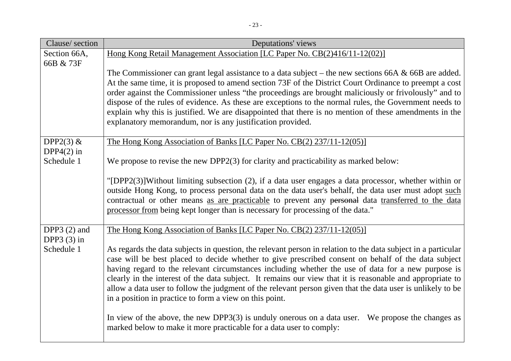| Clause/section | Deputations' views                                                                                                                                                                                              |
|----------------|-----------------------------------------------------------------------------------------------------------------------------------------------------------------------------------------------------------------|
| Section 66A,   | Hong Kong Retail Management Association [LC Paper No. CB(2)416/11-12(02)]                                                                                                                                       |
| 66B & 73F      |                                                                                                                                                                                                                 |
|                | The Commissioner can grant legal assistance to a data subject – the new sections 66A $\&$ 66B are added.                                                                                                        |
|                | At the same time, it is proposed to amend section 73F of the District Court Ordinance to preempt a cost                                                                                                         |
|                | order against the Commissioner unless "the proceedings are brought maliciously or frivolously" and to<br>dispose of the rules of evidence. As these are exceptions to the normal rules, the Government needs to |
|                | explain why this is justified. We are disappointed that there is no mention of these amendments in the                                                                                                          |
|                | explanatory memorandum, nor is any justification provided.                                                                                                                                                      |
|                |                                                                                                                                                                                                                 |
| DPP2 $(3)$ &   | The Hong Kong Association of Banks [LC Paper No. CB(2) 237/11-12(05)]                                                                                                                                           |
| DPP4 $(2)$ in  |                                                                                                                                                                                                                 |
| Schedule 1     | We propose to revise the new DPP2 $(3)$ for clarity and practicability as marked below:                                                                                                                         |
|                |                                                                                                                                                                                                                 |
|                | "[DPP2(3)]Without limiting subsection (2), if a data user engages a data processor, whether within or<br>outside Hong Kong, to process personal data on the data user's behalf, the data user must adopt such   |
|                | contractual or other means as are practicable to prevent any personal data transferred to the data                                                                                                              |
|                | processor from being kept longer than is necessary for processing of the data."                                                                                                                                 |
|                |                                                                                                                                                                                                                 |
| DPP3 $(2)$ and | <u>The Hong Kong Association of Banks [LC Paper No. CB(2) 237/11-12(05)]</u>                                                                                                                                    |
| DPP3 $(3)$ in  |                                                                                                                                                                                                                 |
| Schedule 1     | As regards the data subjects in question, the relevant person in relation to the data subject in a particular                                                                                                   |
|                | case will be best placed to decide whether to give prescribed consent on behalf of the data subject<br>having regard to the relevant circumstances including whether the use of data for a new purpose is       |
|                | clearly in the interest of the data subject. It remains our view that it is reasonable and appropriate to                                                                                                       |
|                | allow a data user to follow the judgment of the relevant person given that the data user is unlikely to be                                                                                                      |
|                | in a position in practice to form a view on this point.                                                                                                                                                         |
|                |                                                                                                                                                                                                                 |
|                | In view of the above, the new DPP3(3) is unduly onerous on a data user. We propose the changes as                                                                                                               |
|                | marked below to make it more practicable for a data user to comply:                                                                                                                                             |
|                |                                                                                                                                                                                                                 |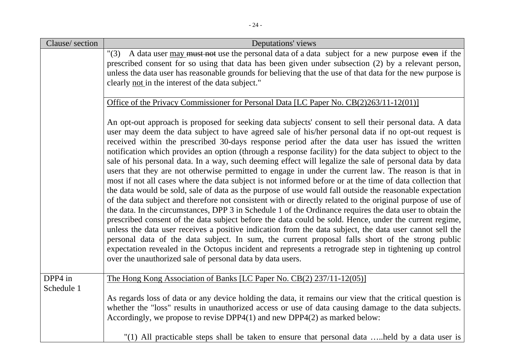| Clause/section        | Deputations' views                                                                                                                                                                                                                                                                                                                                                                                                                                                                                                                                                                                                                                                                                                                                                                                                                                                                                                                                                                                                                                                                                                                                                                                                                                                                                                                                                                                                                                                                                                                                                                                            |
|-----------------------|---------------------------------------------------------------------------------------------------------------------------------------------------------------------------------------------------------------------------------------------------------------------------------------------------------------------------------------------------------------------------------------------------------------------------------------------------------------------------------------------------------------------------------------------------------------------------------------------------------------------------------------------------------------------------------------------------------------------------------------------------------------------------------------------------------------------------------------------------------------------------------------------------------------------------------------------------------------------------------------------------------------------------------------------------------------------------------------------------------------------------------------------------------------------------------------------------------------------------------------------------------------------------------------------------------------------------------------------------------------------------------------------------------------------------------------------------------------------------------------------------------------------------------------------------------------------------------------------------------------|
|                       | "(3) A data user may must not use the personal data of a data subject for a new purpose even if the<br>prescribed consent for so using that data has been given under subsection (2) by a relevant person,<br>unless the data user has reasonable grounds for believing that the use of that data for the new purpose is<br>clearly not in the interest of the data subject."                                                                                                                                                                                                                                                                                                                                                                                                                                                                                                                                                                                                                                                                                                                                                                                                                                                                                                                                                                                                                                                                                                                                                                                                                                 |
|                       | Office of the Privacy Commissioner for Personal Data [LC Paper No. CB(2)263/11-12(01)]                                                                                                                                                                                                                                                                                                                                                                                                                                                                                                                                                                                                                                                                                                                                                                                                                                                                                                                                                                                                                                                                                                                                                                                                                                                                                                                                                                                                                                                                                                                        |
|                       | An opt-out approach is proposed for seeking data subjects' consent to sell their personal data. A data<br>user may deem the data subject to have agreed sale of his/her personal data if no opt-out request is<br>received within the prescribed 30-days response period after the data user has issued the written<br>notification which provides an option (through a response facility) for the data subject to object to the<br>sale of his personal data. In a way, such deeming effect will legalize the sale of personal data by data<br>users that they are not otherwise permitted to engage in under the current law. The reason is that in<br>most if not all cases where the data subject is not informed before or at the time of data collection that<br>the data would be sold, sale of data as the purpose of use would fall outside the reasonable expectation<br>of the data subject and therefore not consistent with or directly related to the original purpose of use of<br>the data. In the circumstances, DPP 3 in Schedule 1 of the Ordinance requires the data user to obtain the<br>prescribed consent of the data subject before the data could be sold. Hence, under the current regime,<br>unless the data user receives a positive indication from the data subject, the data user cannot sell the<br>personal data of the data subject. In sum, the current proposal falls short of the strong public<br>expectation revealed in the Octopus incident and represents a retrograde step in tightening up control<br>over the unauthorized sale of personal data by data users. |
| DPP4 in<br>Schedule 1 | The Hong Kong Association of Banks [LC Paper No. CB(2) 237/11-12(05)]                                                                                                                                                                                                                                                                                                                                                                                                                                                                                                                                                                                                                                                                                                                                                                                                                                                                                                                                                                                                                                                                                                                                                                                                                                                                                                                                                                                                                                                                                                                                         |
|                       | As regards loss of data or any device holding the data, it remains our view that the critical question is<br>whether the "loss" results in unauthorized access or use of data causing damage to the data subjects.<br>Accordingly, we propose to revise $DPP4(1)$ and new $DPP4(2)$ as marked below:                                                                                                                                                                                                                                                                                                                                                                                                                                                                                                                                                                                                                                                                                                                                                                                                                                                                                                                                                                                                                                                                                                                                                                                                                                                                                                          |
|                       | "(1) All practicable steps shall be taken to ensure that personal data held by a data user is                                                                                                                                                                                                                                                                                                                                                                                                                                                                                                                                                                                                                                                                                                                                                                                                                                                                                                                                                                                                                                                                                                                                                                                                                                                                                                                                                                                                                                                                                                                 |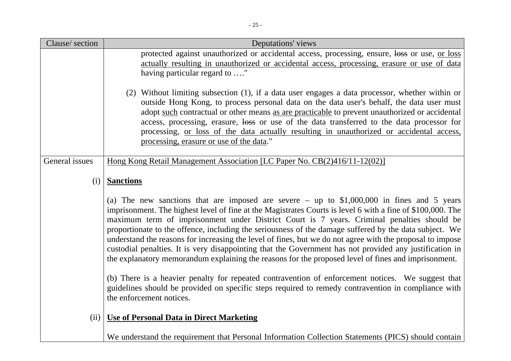| Clause/section | Deputations' views                                                                                                                                                                                                                                                                                                                                                                                                                                                                                                                                                                                                                                                                                                                                |
|----------------|---------------------------------------------------------------------------------------------------------------------------------------------------------------------------------------------------------------------------------------------------------------------------------------------------------------------------------------------------------------------------------------------------------------------------------------------------------------------------------------------------------------------------------------------------------------------------------------------------------------------------------------------------------------------------------------------------------------------------------------------------|
|                | protected against unauthorized or accidental access, processing, ensure, loss or use, or loss                                                                                                                                                                                                                                                                                                                                                                                                                                                                                                                                                                                                                                                     |
|                | actually resulting in unauthorized or accidental access, processing, erasure or use of data                                                                                                                                                                                                                                                                                                                                                                                                                                                                                                                                                                                                                                                       |
|                | having particular regard to "                                                                                                                                                                                                                                                                                                                                                                                                                                                                                                                                                                                                                                                                                                                     |
|                | (2) Without limiting subsection (1), if a data user engages a data processor, whether within or<br>outside Hong Kong, to process personal data on the data user's behalf, the data user must<br>adopt such contractual or other means as are practicable to prevent unauthorized or accidental<br>access, processing, erasure, loss or use of the data transferred to the data processor for<br>processing, <u>or loss of the data actually resulting in unauthorized or accidental access</u> ,<br>processing, erasure or use of the data."                                                                                                                                                                                                      |
| General issues | Hong Kong Retail Management Association [LC Paper No. CB(2)416/11-12(02)]                                                                                                                                                                                                                                                                                                                                                                                                                                                                                                                                                                                                                                                                         |
| (i)            | <b>Sanctions</b>                                                                                                                                                                                                                                                                                                                                                                                                                                                                                                                                                                                                                                                                                                                                  |
|                | (a) The new sanctions that are imposed are severe $-$ up to \$1,000,000 in fines and 5 years<br>imprisonment. The highest level of fine at the Magistrates Courts is level 6 with a fine of \$100,000. The<br>maximum term of imprisonment under District Court is 7 years. Criminal penalties should be<br>proportionate to the offence, including the seriousness of the damage suffered by the data subject. We<br>understand the reasons for increasing the level of fines, but we do not agree with the proposal to impose<br>custodial penalties. It is very disappointing that the Government has not provided any justification in<br>the explanatory memorandum explaining the reasons for the proposed level of fines and imprisonment. |
|                | (b) There is a heavier penalty for repeated contravention of enforcement notices. We suggest that<br>guidelines should be provided on specific steps required to remedy contravention in compliance with<br>the enforcement notices.                                                                                                                                                                                                                                                                                                                                                                                                                                                                                                              |
| (ii)           | <b>Use of Personal Data in Direct Marketing</b>                                                                                                                                                                                                                                                                                                                                                                                                                                                                                                                                                                                                                                                                                                   |
|                | We understand the requirement that Personal Information Collection Statements (PICS) should contain                                                                                                                                                                                                                                                                                                                                                                                                                                                                                                                                                                                                                                               |